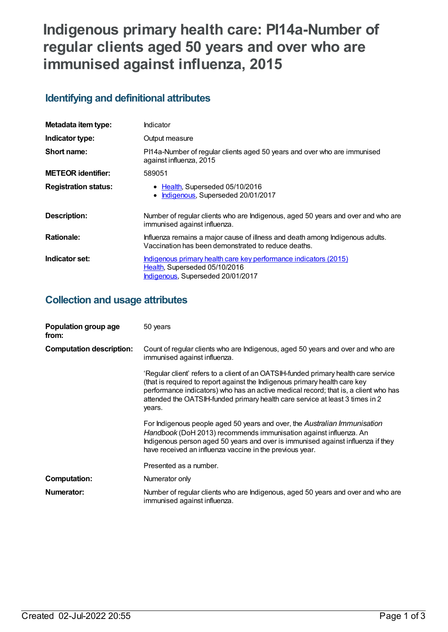# **Indigenous primary health care: PI14a-Number of regular clients aged 50 years and over who are immunised against influenza, 2015**

## **Identifying and definitional attributes**

| Metadata item type:         | Indicator                                                                                                                              |
|-----------------------------|----------------------------------------------------------------------------------------------------------------------------------------|
| Indicator type:             | Output measure                                                                                                                         |
| Short name:                 | PI14a-Number of regular clients aged 50 years and over who are immunised<br>against influenza, 2015                                    |
| <b>METEOR identifier:</b>   | 589051                                                                                                                                 |
| <b>Registration status:</b> | • Health, Superseded 05/10/2016<br>Indigenous, Superseded 20/01/2017                                                                   |
| <b>Description:</b>         | Number of regular clients who are Indigenous, aged 50 years and over and who are<br>immunised against influenza.                       |
| <b>Rationale:</b>           | Influenza remains a major cause of illness and death among Indigenous adults.<br>Vaccination has been demonstrated to reduce deaths.   |
| Indicator set:              | Indigenous primary health care key performance indicators (2015)<br>Health, Superseded 05/10/2016<br>Indigenous, Superseded 20/01/2017 |

## **Collection and usage attributes**

| Population group age<br>from:   | 50 years                                                                                                                                                                                                                                                                                                                                           |
|---------------------------------|----------------------------------------------------------------------------------------------------------------------------------------------------------------------------------------------------------------------------------------------------------------------------------------------------------------------------------------------------|
| <b>Computation description:</b> | Count of regular clients who are Indigenous, aged 50 years and over and who are<br>immunised against influenza.                                                                                                                                                                                                                                    |
|                                 | 'Regular client' refers to a client of an OATSIH-funded primary health care service<br>(that is required to report against the Indigenous primary health care key<br>performance indicators) who has an active medical record; that is, a client who has<br>attended the OATSIH-funded primary health care service at least 3 times in 2<br>years. |
|                                 | For Indigenous people aged 50 years and over, the Australian Immunisation<br>Handbook (DoH 2013) recommends immunisation against influenza. An<br>Indigenous person aged 50 years and over is immunised against influenza if they<br>have received an influenza vaccine in the previous year.                                                      |
|                                 | Presented as a number.                                                                                                                                                                                                                                                                                                                             |
| <b>Computation:</b>             | Numerator only                                                                                                                                                                                                                                                                                                                                     |
| Numerator:                      | Number of regular clients who are Indigenous, aged 50 years and over and who are<br>immunised against influenza.                                                                                                                                                                                                                                   |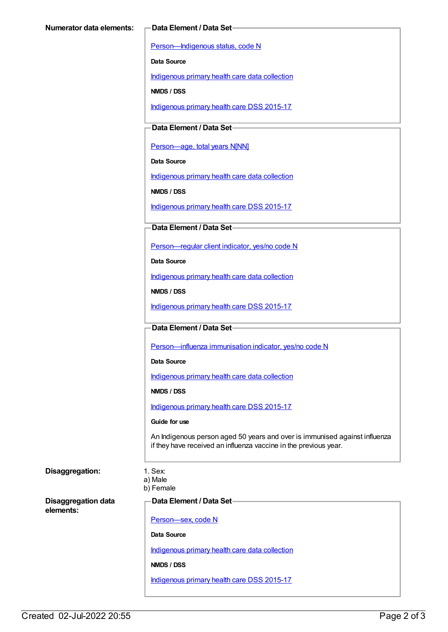[Person—Indigenous](https://meteor.aihw.gov.au/content/291036) status, code N

**Data Source**

[Indigenous](https://meteor.aihw.gov.au/content/430643) primary health care data collection

**NMDS / DSS**

[Indigenous](https://meteor.aihw.gov.au/content/585036) primary health care DSS 2015-17

**Data Element / Data Set**

Person-age, total years N[NN]

**Data Source**

[Indigenous](https://meteor.aihw.gov.au/content/430643) primary health care data collection

**NMDS / DSS**

[Indigenous](https://meteor.aihw.gov.au/content/585036) primary health care DSS 2015-17

### **Data Element / Data Set**

[Person—regular](https://meteor.aihw.gov.au/content/436639) client indicator, yes/no code N

**Data Source**

[Indigenous](https://meteor.aihw.gov.au/content/430643) primary health care data collection

**NMDS / DSS**

[Indigenous](https://meteor.aihw.gov.au/content/585036) primary health care DSS 2015-17

#### **Data Element / Data Set**

[Person—influenza](https://meteor.aihw.gov.au/content/457688) immunisation indicator, yes/no code N

**Data Source**

[Indigenous](https://meteor.aihw.gov.au/content/430643) primary health care data collection

**NMDS / DSS**

[Indigenous](https://meteor.aihw.gov.au/content/585036) primary health care DSS 2015-17

#### **Guide for use**

An Indigenous person aged 50 years and over is immunised against influenza if they have received an influenza vaccine in the previous year.

### **Disaggregation:** 1. Sex:

a) Male b) Female

**Disaggregation data elements:**

**Data Element / Data Set**

[Person—sex,](https://meteor.aihw.gov.au/content/287316) code N

**Data Source**

[Indigenous](https://meteor.aihw.gov.au/content/430643) primary health care data collection

**NMDS / DSS**

[Indigenous](https://meteor.aihw.gov.au/content/585036) primary health care DSS 2015-17